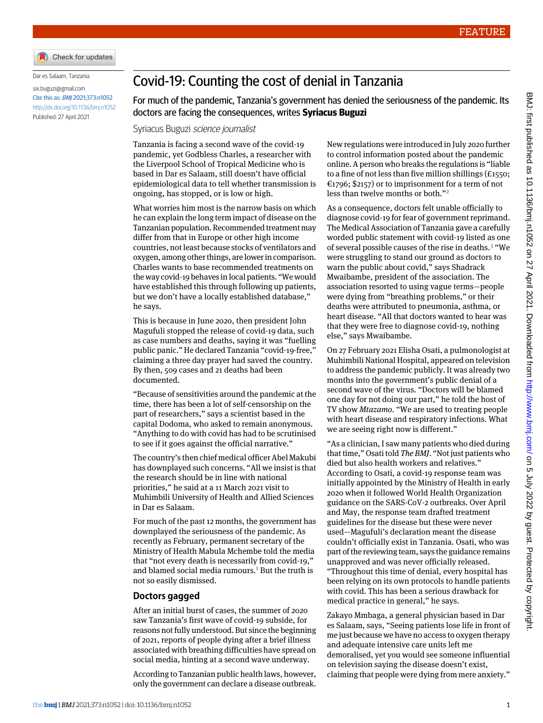

Dar es Salaam, Tanzania

[six.buguzi@gmail.com](mailto:six.buguzi@gmail.com) Cite this as: BMJ 2021;373:n1052 <http://dx.doi.org/10.1136/bmj.n1052> Published: 27 April 2021

## Covid-19: Counting the cost of denial in Tanzania

For much of the pandemic, Tanzania's government has denied the seriousness of the pandemic. Its doctors are facing the consequences, writes **Syriacus Buguzi**

Syriacus Buguzi science journalist

Tanzania is facing a second wave of the covid-19 pandemic, yet Godbless Charles, a researcher with the Liverpool School of Tropical Medicine who is based in Dar es Salaam, still doesn't have official epidemiological data to tell whether transmission is ongoing, has stopped, or is low or high.

What worries him most is the narrow basis on which he can explain the long term impact of disease on the Tanzanian population. Recommended treatment may differ from that in Europe or other high income countries, not least because stocks of ventilators and oxygen, among other things, arelower in comparison. Charles wants to base recommended treatments on the way covid-19 behaves in local patients. "We would have established this through following up patients, but we don't have a locally established database," he says.

This is because in June 2020, then president John Magufuli stopped the release of covid-19 data, such as case numbers and deaths, saying it was "fuelling public panic." He declared Tanzania "covid-19-free," claiming a three day prayer had saved the country. By then, 509 cases and 21 deaths had been documented.

"Because of sensitivities around the pandemic at the time, there has been a lot of self-censorship on the part of researchers," says a scientist based in the capital Dodoma, who asked to remain anonymous. "Anything to do with covid has had to be scrutinised to see if it goes against the official narrative."

The country's then chief medical officer Abel Makubi has downplayed such concerns. "All we insist is that the research should be in line with national priorities," he said at a 11 March 2021 visit to Muhimbili University of Health and Allied Sciences in Dar es Salaam.

For much of the past 12 months, the government has downplayed the seriousness of the pandemic. As recently as February, permanent secretary of the Ministry of Health Mabula Mchembe told the media that "not every death is necessarily from covid-19," and blamed social media rumours.<sup>[1](#page-1-0)</sup> But the truth is not so easily dismissed.

## **Doctors gagged**

After an initial burst of cases, the summer of 2020 saw Tanzania's first wave of covid-19 subside, for reasons not fully understood. But since the beginning of 2021, reports of people dying after a brief illness associated with breathing difficulties have spread on social media, hinting at a second wave underway.

According to Tanzanian public health laws, however, only the government can declare a disease outbreak. New regulations were introduced in July 2020 further to control information posted about the pandemic online. A person who breaks the regulations is "liable to a fine of not less than five million shillings (£1550; €1796; \$2157) or to imprisonment for a term of not less than twelve months or both." [2](#page-1-1)

As a consequence, doctors felt unable officially to diagnose covid-19 for fear of government reprimand. The Medical Association of Tanzania gave a carefully worded public statement with covid-19 listed as one of several possible causes of the rise in deaths.<sup>[3](#page-1-2)</sup> "We were struggling to stand our ground as doctors to warn the public about covid," says Shadrack Mwaibambe, president of the association. The association resorted to using vague terms—people were dying from "breathing problems," or their deaths were attributed to pneumonia, asthma, or heart disease. "All that doctors wanted to hear was that they were free to diagnose covid-19, nothing else," says Mwaibambe.

On 27 February 2021 Elisha Osati, a pulmonologist at Muhimbili National Hospital, appeared on television to address the pandemic publicly. It was already two months into the government's public denial of a second wave of the virus. "Doctors will be blamed one day for not doing our part," he told the host of TV show *Mtazamo*. "We are used to treating people with heart disease and respiratory infections. What we are seeing right now is different."

"As a clinician, I saw many patients who died during that time,"Osati told *The BMJ*. "Not just patients who died but also health workers and relatives." According to Osati, a covid-19 response team was initially appointed by the Ministry of Health in early 2020 when it followed World Health Organization guidance on the SARS-CoV-2 outbreaks. Over April and May, the response team drafted treatment guidelines for the disease but these were never used—Magufuli's declaration meant the disease couldn't officially exist in Tanzania. Osati, who was part of the reviewing team, says the guidance remains unapproved and was never officially released. "Throughout this time of denial, every hospital has been relying on its own protocols to handle patients with covid. This has been a serious drawback for medical practice in general," he says.

Zakayo Mmbaga, a general physician based in Dar es Salaam, says, "Seeing patients lose life in front of me just because we have no access to oxygen therapy and adequate intensive care units left me demoralised, yet you would see someone influential on television saying the disease doesn't exist, claiming that people were dying from mere anxiety."